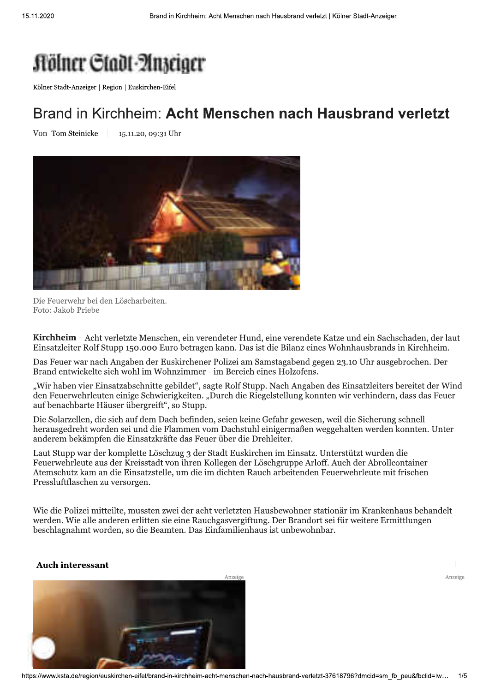## **Rölner Ctadt Anseiger**

Kölner Stadt-Anzeiger | Region | Euskirchen-Eifel

## Brand in Kirchheim: Acht Menschen nach Hausbrand verletzt

Von Tom Steinicke 15.11.20, 09:31 Uhr



Die Feuerwehr bei den Löscharbeiten. Foto: Jakob Priebe

Kirchheim - Acht verletzte Menschen, ein verendeter Hund, eine verendete Katze und ein Sachschaden, der laut Einsatzleiter Rolf Stupp 150.000 Euro betragen kann. Das ist die Bilanz eines Wohnhausbrands in Kirchheim.

Das Feuer war nach Angaben der Euskirchener Polizei am Samstagabend gegen 23.10 Uhr ausgebrochen. Der Brand entwickelte sich wohl im Wohnzimmer - im Bereich eines Holzofens.

"Wir haben vier Einsatzabschnitte gebildet", sagte Rolf Stupp. Nach Angaben des Einsatzleiters bereitet der Wind den Feuerwehrleuten einige Schwierigkeiten. "Durch die Riegelstellung konnten wir verhindern, dass das Feuer auf benachbarte Häuser übergreift", so Stupp.

Die Solarzellen, die sich auf dem Dach befinden, seien keine Gefahr gewesen, weil die Sicherung schnell herausgedreht worden sei und die Flammen vom Dachstuhl einigermaßen weggehalten werden konnten. Unter anderem bekämpfen die Einsatzkräfte das Feuer über die Drehleiter.

Laut Stupp war der komplette Löschzug 3 der Stadt Euskirchen im Einsatz. Unterstützt wurden die Feuerwehrleute aus der Kreisstadt von ihren Kollegen der Löschgruppe Arloff. Auch der Abrollcontainer Atemschutz kam an die Einsatzstelle, um die im dichten Rauch arbeitenden Feuerwehrleute mit frischen Pressluftflaschen zu versorgen.

Wie die Polizei mitteilte, mussten zwei der acht verletzten Hausbewohner stationär im Krankenhaus behandelt werden. Wie alle anderen erlitten sie eine Rauchgasvergiftung. Der Brandort sei für weitere Ermittlungen beschlagnahmt worden, so die Beamten. Das Einfamilienhaus ist unbewohnbar.

## **Auch interessant**

Anzeige

 $\overline{\phantom{a}}$ Anzeige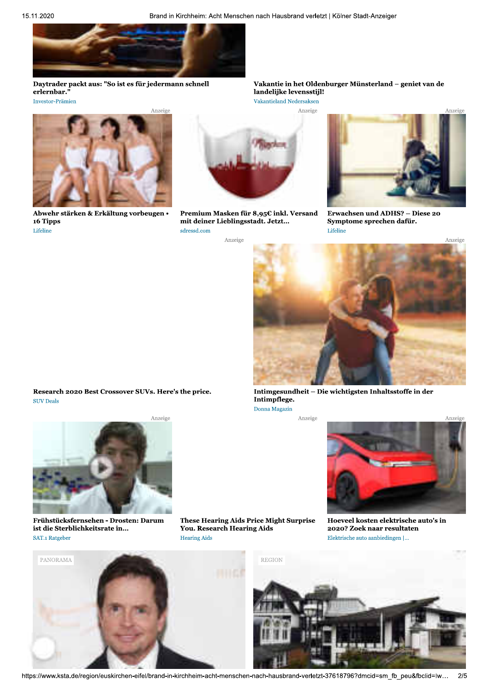

Daytrader packt aus: "So ist es für jedermann schnell erlernbar.' Investor-Prämien



Abwehr stärken & Erkältung vorbeugen • 16 Tipps Lifeline

Research 2020 Best Crossover SUVs. Here's the price.

Frühstücksfernsehen - Drosten: Darum

ist die Sterblichkeitsrate in...

SAT.1 Ratgeber

Anzeige

**SUV Deals** 



Premium Masken für 8,95 $\epsilon$  inkl. Versand mit deiner Lieblingsstadt. Jetzt... sdressd.com Anzeige

Vakantie in het Oldenburger Münsterland - geniet van de landelijke levensstijl! Vakantieland Nedersaksen

Anzeige



Erwachsen und ADHS? - Diese 20 Symptome sprechen dafür. Lifeline

Anzeige



Intimgesundheit - Die wichtigsten Inhaltsstoffe in der Intimpflege. Donna Magazin

Anzeige



Hoeveel kosten elektrische auto's in 2020? Zoek naar resultaten Elektrische auto aanbiedingen |...



These Hearing Aids Price Might Surprise You. Research Hearing Aids **Hearing Aids** 



https://www.ksta.de/region/euskirchen-eifel/brand-in-kirchheim-acht-menschen-nach-hausbrand-verletzt-37618796?dmcid=sm\_fb\_peu&fbclid=lw...  $2/5$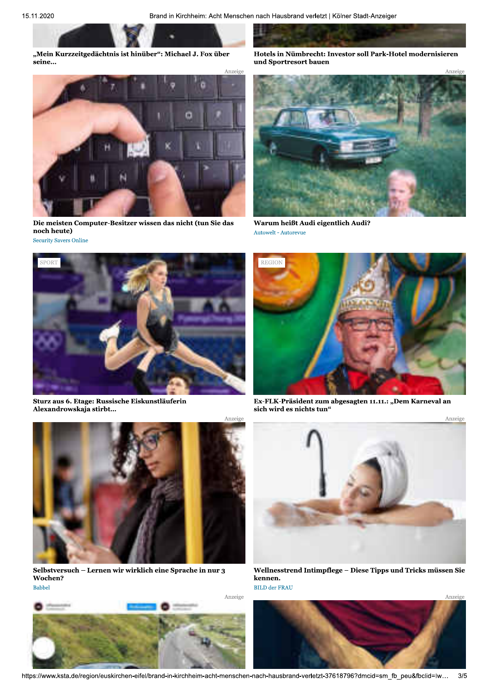23456789:;;45<=4>?@A<65B75B<7A56CD4:EF735@AG4H7IJ7KLM7CD4: B4564N OL<4HB7567PCQD:4@A<F7R6S4B<L:7BLHH7TG:UVOL<4H7QL>4:65B54:46 96>7WXL:<:4BL:<7DG946



Die meisten Computer-Besitzer wissen das nicht (tun Sie das noch heute) Security Savers Online



Sturz aus 6. Etage: Russische Eiskunstläuferin Alexandrowskaja stirbt...





Warum heißt Audi eigentlich Audi? Autowelt - Autorevue



Ex-FLK-Präsident zum abgesagten 11.11.: "Dem Karneval an sich wird es nichts tun"



Selbstversuch - Lernen wir wirklich eine Sprache in nur 3 Wochen? **Babbel** 





Wellnesstrend Intimpflege - Diese Tipps und Tricks müssen Sie kennen. BILD der FRAU



nttps://www.ksta.do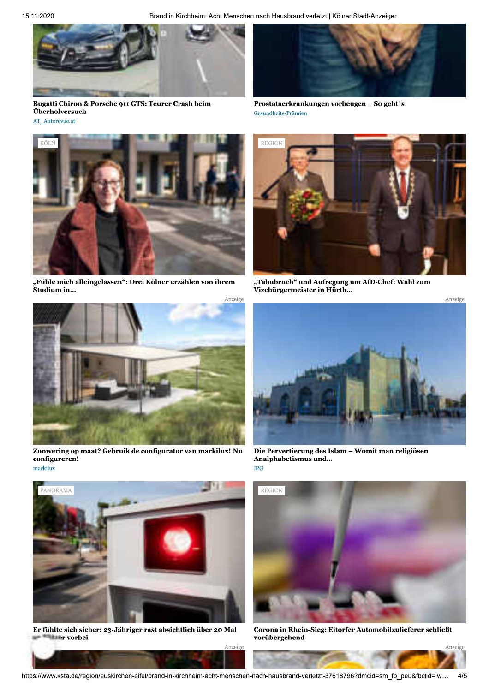Brand in Kirchheim: Acht Menschen nach Hausbrand verletzt | Kölner Stadt-Anzeiger



Bugatti Chiron & Porsche 911 GTS: Teurer Crash beim Überholversuch AT\_Autorevue.at



Prostataerkrankungen vorbeugen - So geht's Gesundheits-Prämien



"Fühle mich alleingelassen": Drei Kölner erzählen von ihrem Studium in...



Zonwering op maat? Gebruik de configurator van markilux! Nu configureren! markilux



Er fühlte sich sicher: 23-Jähriger rast absichtlich über 20 Mal **Harr** vorbei



"Tabubruch" und Aufregung um AfD-Chef: Wahl zum<br>Vizebürgermeister in Hürth...



Die Pervertierung des Islam - Womit man religiösen Analphabetismus und...  $\rm IPG$ 



Corona in Rhein-Sieg: Eitorfer Automobilzulieferer schließt vorübergehend

Anzeige

Anzeige